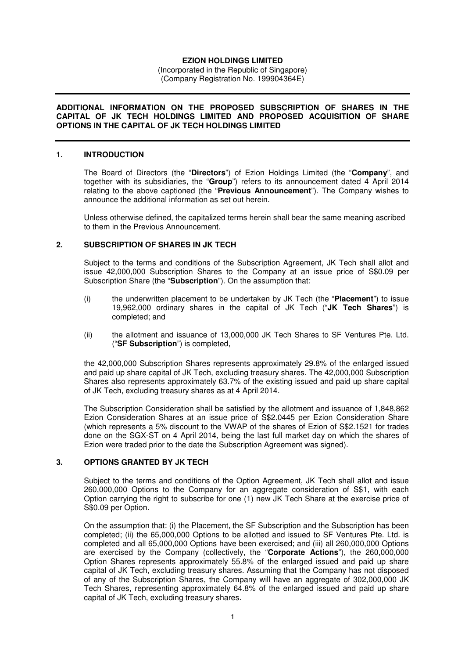# **EZION HOLDINGS LIMITED**

(Incorporated in the Republic of Singapore) (Company Registration No. 199904364E)

#### **ADDITIONAL INFORMATION ON THE PROPOSED SUBSCRIPTION OF SHARES IN THE CAPITAL OF JK TECH HOLDINGS LIMITED AND PROPOSED ACQUISITION OF SHARE OPTIONS IN THE CAPITAL OF JK TECH HOLDINGS LIMITED**

#### **1. INTRODUCTION**

The Board of Directors (the "**Directors**") of Ezion Holdings Limited (the "**Company**", and together with its subsidiaries, the "**Group**") refers to its announcement dated 4 April 2014 relating to the above captioned (the "**Previous Announcement**"). The Company wishes to announce the additional information as set out herein.

Unless otherwise defined, the capitalized terms herein shall bear the same meaning ascribed to them in the Previous Announcement.

## **2. SUBSCRIPTION OF SHARES IN JK TECH**

Subject to the terms and conditions of the Subscription Agreement, JK Tech shall allot and issue 42,000,000 Subscription Shares to the Company at an issue price of S\$0.09 per Subscription Share (the "**Subscription**"). On the assumption that:

- (i) the underwritten placement to be undertaken by JK Tech (the "**Placement**") to issue 19,962,000 ordinary shares in the capital of JK Tech ("**JK Tech Shares**") is completed; and
- (ii) the allotment and issuance of 13,000,000 JK Tech Shares to SF Ventures Pte. Ltd. ("**SF Subscription**") is completed,

the 42,000,000 Subscription Shares represents approximately 29.8% of the enlarged issued and paid up share capital of JK Tech, excluding treasury shares. The 42,000,000 Subscription Shares also represents approximately 63.7% of the existing issued and paid up share capital of JK Tech, excluding treasury shares as at 4 April 2014.

The Subscription Consideration shall be satisfied by the allotment and issuance of 1,848,862 Ezion Consideration Shares at an issue price of S\$2.0445 per Ezion Consideration Share (which represents a 5% discount to the VWAP of the shares of Ezion of S\$2.1521 for trades done on the SGX-ST on 4 April 2014, being the last full market day on which the shares of Ezion were traded prior to the date the Subscription Agreement was signed).

### **3. OPTIONS GRANTED BY JK TECH**

Subject to the terms and conditions of the Option Agreement, JK Tech shall allot and issue 260,000,000 Options to the Company for an aggregate consideration of S\$1, with each Option carrying the right to subscribe for one (1) new JK Tech Share at the exercise price of S\$0.09 per Option.

On the assumption that: (i) the Placement, the SF Subscription and the Subscription has been completed; (ii) the 65,000,000 Options to be allotted and issued to SF Ventures Pte. Ltd. is completed and all 65,000,000 Options have been exercised; and (iii) all 260,000,000 Options are exercised by the Company (collectively, the "**Corporate Actions**"), the 260,000,000 Option Shares represents approximately 55.8% of the enlarged issued and paid up share capital of JK Tech, excluding treasury shares. Assuming that the Company has not disposed of any of the Subscription Shares, the Company will have an aggregate of 302,000,000 JK Tech Shares, representing approximately 64.8% of the enlarged issued and paid up share capital of JK Tech, excluding treasury shares.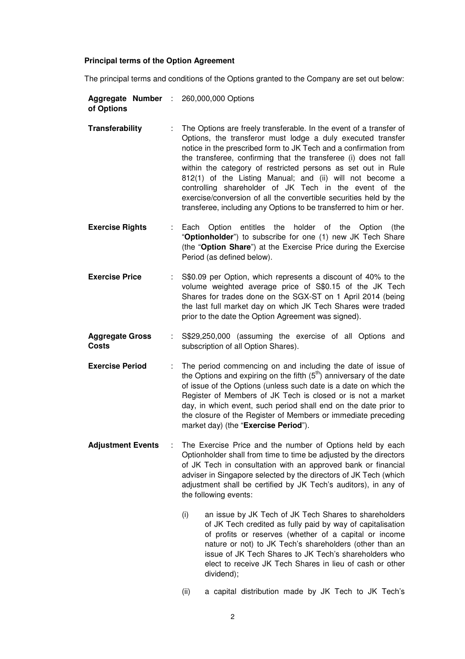#### **Principal terms of the Option Agreement**

The principal terms and conditions of the Options granted to the Company are set out below:

|            |  | <b>Aggregate Number : 260,000,000 Options</b> |
|------------|--|-----------------------------------------------|
| of Options |  |                                               |

- **Transferability** : The Options are freely transferable. In the event of a transfer of Options, the transferor must lodge a duly executed transfer notice in the prescribed form to JK Tech and a confirmation from the transferee, confirming that the transferee (i) does not fall within the category of restricted persons as set out in Rule 812(1) of the Listing Manual; and (ii) will not become a controlling shareholder of JK Tech in the event of the exercise/conversion of all the convertible securities held by the transferee, including any Options to be transferred to him or her.
- **Exercise Rights** : Each Option entitles the holder of the Option (the "**Optionholder**") to subscribe for one (1) new JK Tech Share (the "**Option Share**") at the Exercise Price during the Exercise Period (as defined below).
- **Exercise Price** : S\$0.09 per Option, which represents a discount of 40% to the volume weighted average price of S\$0.15 of the JK Tech Shares for trades done on the SGX-ST on 1 April 2014 (being the last full market day on which JK Tech Shares were traded prior to the date the Option Agreement was signed).
- **Aggregate Gross Costs**  : S\$29,250,000 (assuming the exercise of all Options and subscription of all Option Shares).
- **Exercise Period** : The period commencing on and including the date of issue of the Options and expiring on the fifth  $(5<sup>th</sup>)$  anniversary of the date of issue of the Options (unless such date is a date on which the Register of Members of JK Tech is closed or is not a market day, in which event, such period shall end on the date prior to the closure of the Register of Members or immediate preceding market day) (the "**Exercise Period**").
- **Adjustment Events** : The Exercise Price and the number of Options held by each Optionholder shall from time to time be adjusted by the directors of JK Tech in consultation with an approved bank or financial adviser in Singapore selected by the directors of JK Tech (which adjustment shall be certified by JK Tech's auditors), in any of the following events:
	- (i) an issue by JK Tech of JK Tech Shares to shareholders of JK Tech credited as fully paid by way of capitalisation of profits or reserves (whether of a capital or income nature or not) to JK Tech's shareholders (other than an issue of JK Tech Shares to JK Tech's shareholders who elect to receive JK Tech Shares in lieu of cash or other dividend);
	- (ii) a capital distribution made by JK Tech to JK Tech's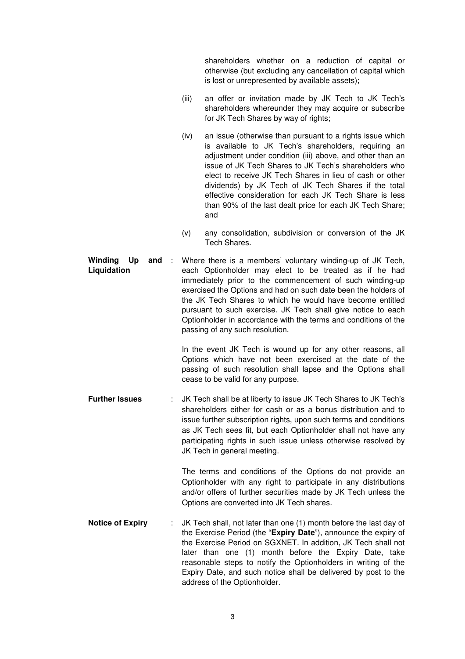shareholders whether on a reduction of capital or otherwise (but excluding any cancellation of capital which is lost or unrepresented by available assets);

- (iii) an offer or invitation made by JK Tech to JK Tech's shareholders whereunder they may acquire or subscribe for JK Tech Shares by way of rights;
- (iv) an issue (otherwise than pursuant to a rights issue which is available to JK Tech's shareholders, requiring an adjustment under condition (iii) above, and other than an issue of JK Tech Shares to JK Tech's shareholders who elect to receive JK Tech Shares in lieu of cash or other dividends) by JK Tech of JK Tech Shares if the total effective consideration for each JK Tech Share is less than 90% of the last dealt price for each JK Tech Share; and
- (v) any consolidation, subdivision or conversion of the JK Tech Shares.
- **Winding Up and Liquidation**  : Where there is a members' voluntary winding-up of JK Tech, each Optionholder may elect to be treated as if he had immediately prior to the commencement of such winding-up exercised the Options and had on such date been the holders of the JK Tech Shares to which he would have become entitled pursuant to such exercise. JK Tech shall give notice to each Optionholder in accordance with the terms and conditions of the passing of any such resolution.

In the event JK Tech is wound up for any other reasons, all Options which have not been exercised at the date of the passing of such resolution shall lapse and the Options shall cease to be valid for any purpose.

**Further Issues** : JK Tech shall be at liberty to issue JK Tech Shares to JK Tech's shareholders either for cash or as a bonus distribution and to issue further subscription rights, upon such terms and conditions as JK Tech sees fit, but each Optionholder shall not have any participating rights in such issue unless otherwise resolved by JK Tech in general meeting.

> The terms and conditions of the Options do not provide an Optionholder with any right to participate in any distributions and/or offers of further securities made by JK Tech unless the Options are converted into JK Tech shares.

**Notice of Expiry** : JK Tech shall, not later than one (1) month before the last day of the Exercise Period (the "**Expiry Date**"), announce the expiry of the Exercise Period on SGXNET. In addition, JK Tech shall not later than one (1) month before the Expiry Date, take reasonable steps to notify the Optionholders in writing of the Expiry Date, and such notice shall be delivered by post to the address of the Optionholder.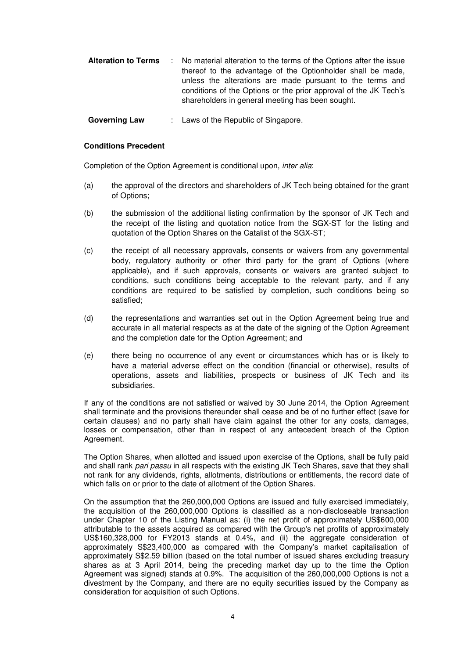| <b>Alteration to Terms</b> | : No material alteration to the terms of the Options after the issue<br>thereof to the advantage of the Optionholder shall be made,<br>unless the alterations are made pursuant to the terms and<br>conditions of the Options or the prior approval of the JK Tech's<br>shareholders in general meeting has been sought. |
|----------------------------|--------------------------------------------------------------------------------------------------------------------------------------------------------------------------------------------------------------------------------------------------------------------------------------------------------------------------|
|                            |                                                                                                                                                                                                                                                                                                                          |

**Governing Law** : Laws of the Republic of Singapore.

## **Conditions Precedent**

Completion of the Option Agreement is conditional upon, inter alia:

- (a) the approval of the directors and shareholders of JK Tech being obtained for the grant of Options;
- (b) the submission of the additional listing confirmation by the sponsor of JK Tech and the receipt of the listing and quotation notice from the SGX-ST for the listing and quotation of the Option Shares on the Catalist of the SGX-ST;
- (c) the receipt of all necessary approvals, consents or waivers from any governmental body, regulatory authority or other third party for the grant of Options (where applicable), and if such approvals, consents or waivers are granted subject to conditions, such conditions being acceptable to the relevant party, and if any conditions are required to be satisfied by completion, such conditions being so satisfied;
- (d) the representations and warranties set out in the Option Agreement being true and accurate in all material respects as at the date of the signing of the Option Agreement and the completion date for the Option Agreement; and
- (e) there being no occurrence of any event or circumstances which has or is likely to have a material adverse effect on the condition (financial or otherwise), results of operations, assets and liabilities, prospects or business of JK Tech and its subsidiaries.

If any of the conditions are not satisfied or waived by 30 June 2014, the Option Agreement shall terminate and the provisions thereunder shall cease and be of no further effect (save for certain clauses) and no party shall have claim against the other for any costs, damages, losses or compensation, other than in respect of any antecedent breach of the Option Agreement.

The Option Shares, when allotted and issued upon exercise of the Options, shall be fully paid and shall rank pari passu in all respects with the existing JK Tech Shares, save that they shall not rank for any dividends, rights, allotments, distributions or entitlements, the record date of which falls on or prior to the date of allotment of the Option Shares.

On the assumption that the 260,000,000 Options are issued and fully exercised immediately, the acquisition of the 260,000,000 Options is classified as a non-discloseable transaction under Chapter 10 of the Listing Manual as: (i) the net profit of approximately US\$600,000 attributable to the assets acquired as compared with the Group's net profits of approximately US\$160,328,000 for FY2013 stands at 0.4%, and (ii) the aggregate consideration of approximately S\$23,400,000 as compared with the Company's market capitalisation of approximately S\$2.59 billion (based on the total number of issued shares excluding treasury shares as at 3 April 2014, being the preceding market day up to the time the Option Agreement was signed) stands at 0.9%. The acquisition of the 260,000,000 Options is not a divestment by the Company, and there are no equity securities issued by the Company as consideration for acquisition of such Options.